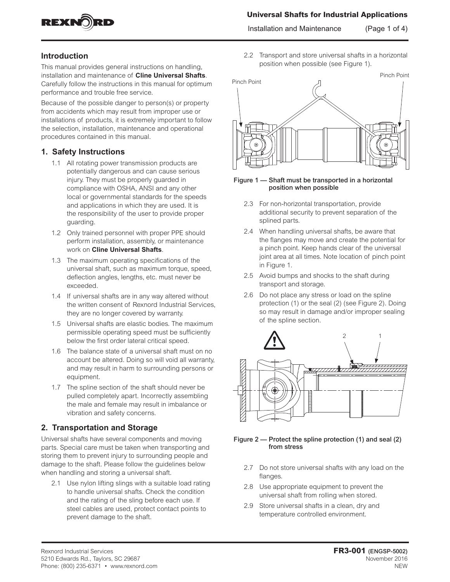

### **Universal Shafts for Industrial Applications**

Installation and Maintenance (Page 1 of 4)

## **Introduction**

This manual provides general instructions on handling, installation and maintenance of **Cline Universal Shafts**. Carefully follow the instructions in this manual for optimum performance and trouble free service.

Because of the possible danger to person(s) or property from accidents which may result from improper use or installations of products, it is extremely important to follow the selection, installation, maintenance and operational procedures contained in this manual.

#### **1. Safety Instructions**

- 1.1 All rotating power transmission products are potentially dangerous and can cause serious injury. They must be properly guarded in compliance with OSHA, ANSI and any other local or governmental standards for the speeds and applications in which they are used. It is the responsibility of the user to provide proper guarding.
- 1.2 Only trained personnel with proper PPE should perform installation, assembly, or maintenance work on **Cline Universal Shafts**.
- 1.3 The maximum operating specifications of the universal shaft, such as maximum torque, speed, deflection angles, lengths, etc. must never be exceeded.
- 1.4 If universal shafts are in any way altered without the written consent of Rexnord Industrial Services, they are no longer covered by warranty.
- 1.5 Universal shafts are elastic bodies. The maximum permissible operating speed must be sufficiently below the first order lateral critical speed.
- 1.6 The balance state of a universal shaft must on no account be altered. Doing so will void all warranty, and may result in harm to surrounding persons or equipment.
- 1.7 The spline section of the shaft should never be pulled completely apart. Incorrectly assembling the male and female may result in imbalance or vibration and safety concerns.

## **2. Transportation and Storage**

Universal shafts have several components and moving parts. Special care must be taken when transporting and storing them to prevent injury to surrounding people and damage to the shaft. Please follow the guidelines below when handling and storing a universal shaft.

2.1 Use nylon lifting slings with a suitable load rating to handle universal shafts. Check the condition and the rating of the sling before each use. If steel cables are used, protect contact points to prevent damage to the shaft.

2.2 Transport and store universal shafts in a horizontal position when possible (see Figure 1).



#### Figure 1 — Shaft must be transported in a horizontal position when possible

- 2.3 For non-horizontal transportation, provide additional security to prevent separation of the splined parts.
- 2.4 When handling universal shafts, be aware that the flanges may move and create the potential for a pinch point. Keep hands clear of the universal joint area at all times. Note location of pinch point in Figure 1.
- 2.5 Avoid bumps and shocks to the shaft during transport and storage.
- 2.6 Do not place any stress or load on the spline protection (1) or the seal (2) (see Figure 2). Doing so may result in damage and/or improper sealing of the spline section.



#### Figure 2 — Protect the spline protection (1) and seal (2) from stress

- 2.7 Do not store universal shafts with any load on the flanges.
- 2.8 Use appropriate equipment to prevent the universal shaft from rolling when stored.
- 2.9 Store universal shafts in a clean, dry and temperature controlled environment.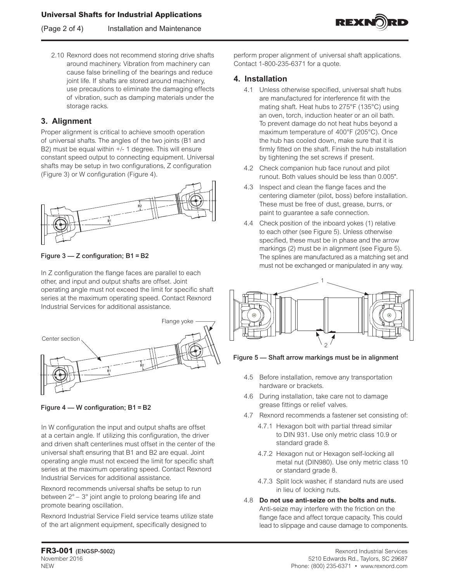(Page 2 of 4) Installation and Maintenance



2.10 Rexnord does not recommend storing drive shafts around machinery. Vibration from machinery can cause false brinelling of the bearings and reduce joint life. If shafts are stored around machinery, use precautions to eliminate the damaging effects of vibration, such as damping materials under the storage racks.

# **3. Alignment**

Proper alignment is critical to achieve smooth operation of universal shafts. The angles of the two joints (B1 and B2) must be equal within +/- 1 degree. This will ensure constant speed output to connecting equipment. Universal shafts may be setup in two configurations, Z configuration (Figure 3) or W configuration (Figure 4).



Figure 3 — Z configuration; B1 = B2

In Z configuration the flange faces are parallel to each other, and input and output shafts are offset. Joint operating angle must not exceed the limit for specific shaft series at the maximum operating speed. Contact Rexnord Industrial Services for additional assistance.



Figure 4 — W configuration; B1 = B2

In W configuration the input and output shafts are offset at a certain angle. If utilizing this configuration, the driver and driven shaft centerlines must offset in the center of the universal shaft ensuring that B1 and B2 are equal. Joint operating angle must not exceed the limit for specific shaft series at the maximum operating speed. Contact Rexnord Industrial Services for additional assistance.

Rexnord recommends universal shafts be setup to run between 2° – 3° joint angle to prolong bearing life and promote bearing oscillation.

Rexnord Industrial Service Field service teams utilize state of the art alignment equipment, specifically designed to

perform proper alignment of universal shaft applications. Contact 1-800-235-6371 for a quote.

## **4. Installation**

- 4.1 Unless otherwise specified, universal shaft hubs are manufactured for interference fit with the mating shaft. Heat hubs to 275°F (135°C) using an oven, torch, induction heater or an oil bath. To prevent damage do not heat hubs beyond a maximum temperature of 400°F (205°C). Once the hub has cooled down, make sure that it is firmly fitted on the shaft. Finish the hub installation by tightening the set screws if present.
- 4.2 Check companion hub face runout and pilot runout. Both values should be less than 0.005".
- 4.3 Inspect and clean the flange faces and the centering diameter (pilot, boss) before installation. These must be free of dust, grease, burrs, or paint to guarantee a safe connection.
- 4.4 Check position of the inboard yokes (1) relative to each other (see Figure 5). Unless otherwise specified, these must be in phase and the arrow markings (2) must be in alignment (see Figure 5). The splines are manufactured as a matching set and must not be exchanged or manipulated in any way.



Figure 5 — Shaft arrow markings must be in alignment

- 4.5 Before installation, remove any transportation hardware or brackets.
- 4.6 During installation, take care not to damage grease fittings or relief valves.
- 4.7 Rexnord recommends a fastener set consisting of:
	- 4.7.1 Hexagon bolt with partial thread similar to DIN 931. Use only metric class 10.9 or standard grade 8.
	- 4.7.2 Hexagon nut or Hexagon self-locking all metal nut (DIN980). Use only metric class 10 or standard grade 8.
	- 4.7.3 Split lock washer, if standard nuts are used in lieu of locking nuts.
- 4.8 **Do not use anti-seize on the bolts and nuts.** Anti-seize may interfere with the friction on the flange face and affect torque capacity. This could lead to slippage and cause damage to components.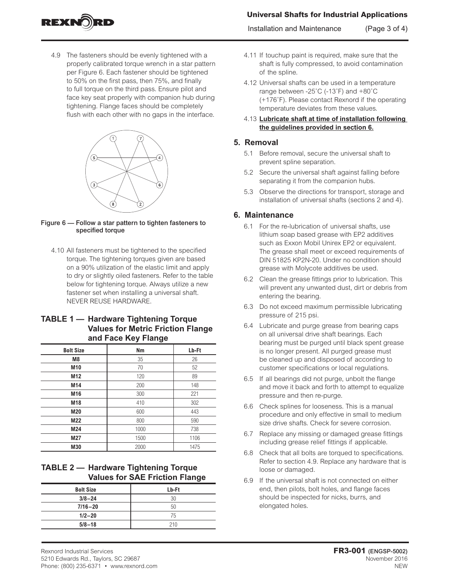# **Universal Shafts for Industrial Applications**

Installation and Maintenance (Page 3 of 4)



4.9 The fasteners should be evenly tightened with a properly calibrated torque wrench in a star pattern per Figure 6. Each fastener should be tightened to 50% on the first pass, then 75%, and finally to full torque on the third pass. Ensure pilot and face key seat properly with companion hub during tightening. Flange faces should be completely flush with each other with no gaps in the interface.



- Figure 6 Follow a star pattern to tighten fasteners to specified torque
	- 4.10 All fasteners must be tightened to the specified torque. The tightening torques given are based on a 90% utilization of the elastic limit and apply to dry or slightly oiled fasteners. Refer to the table below for tightening torque. Always utilize a new fastener set when installing a universal shaft. NEVER REUSE HARDWARE.

#### **TABLE 1 — Hardware Tightening Torque Values for Metric Friction Flange and Face Key Flange**

| <b>Bolt Size</b> | Nm   | Lb-Ft |
|------------------|------|-------|
| M <sub>8</sub>   | 35   | 26    |
| M10              | 70   | 52    |
| M12              | 120  | 89    |
| M14              | 200  | 148   |
| M16              | 300  | 221   |
| M18              | 410  | 302   |
| M20              | 600  | 443   |
| M22              | 800  | 590   |
| M24              | 1000 | 738   |
| M27              | 1500 | 1106  |
| M30              | 2000 | 1475  |

## **TABLE 2 — Hardware Tightening Torque Values for SAE Friction Flange**

| <b>Bolt Size</b> | Lb-Ft |  |
|------------------|-------|--|
| $3/8 - 24$       | 30    |  |
| $7/16 - 20$      | 50    |  |
| $1/2 - 20$       | 75    |  |
| $5/8 - 18$       | 210   |  |

- 4.11 If touchup paint is required, make sure that the shaft is fully compressed, to avoid contamination of the spline.
- 4.12 Universal shafts can be used in a temperature range between -25˚C (-13˚F) and +80˚C (+176˚F). Please contact Rexnord if the operating temperature deviates from these values.
- 4.13 **Lubricate shaft at time of installation following the guidelines provided in section 6.**

#### **5. Removal**

- 5.1 Before removal, secure the universal shaft to prevent spline separation.
- 5.2 Secure the universal shaft against falling before separating it from the companion hubs.
- 5.3 Observe the directions for transport, storage and installation of universal shafts (sections 2 and 4).

## **6. Maintenance**

- 6.1 For the re-lubrication of universal shafts, use lithium soap based grease with EP2 additives such as Exxon Mobil Unirex EP2 or equivalent. The grease shall meet or exceed requirements of DIN 51825 KP2N-20. Under no condition should grease with Molycote additives be used.
- 6.2 Clean the grease fittings prior to lubrication. This will prevent any unwanted dust, dirt or debris from entering the bearing.
- 6.3 Do not exceed maximum permissible lubricating pressure of 215 psi.
- 6.4 Lubricate and purge grease from bearing caps on all universal drive shaft bearings. Each bearing must be purged until black spent grease is no longer present. All purged grease must be cleaned up and disposed of according to customer specifications or local regulations.
- 6.5 If all bearings did not purge, unbolt the flange and move it back and forth to attempt to equalize pressure and then re-purge.
- 6.6 Check splines for looseness. This is a manual procedure and only effective in small to medium size drive shafts. Check for severe corrosion.
- 6.7 Replace any missing or damaged grease fittings including grease relief fittings if applicable.
- 6.8 Check that all bolts are torqued to specifications. Refer to section 4.9. Replace any hardware that is loose or damaged.
- 6.9 If the universal shaft is not connected on either end, then pilots, bolt holes, and flange faces should be inspected for nicks, burrs, and elongated holes.